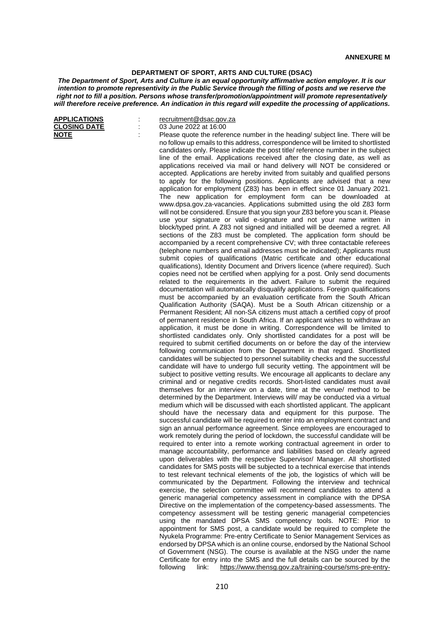## **DEPARTMENT OF SPORT, ARTS AND CULTURE (DSAC)**

*The Department of Sport, Arts and Culture is an equal opportunity affirmative action employer. It is our intention to promote representivity in the Public Service through the filling of posts and we reserve the right not to fill a position. Persons whose transfer/promotion/appointment will promote representatively will therefore receive preference. An indication in this regard will expedite the processing of applications.*

| <b>APPLICATIONS</b> |  |
|---------------------|--|
| <b>CLOSING DATE</b> |  |
| <b>NOTE</b>         |  |

**APPLICATIONS** : [recruitment@dsac.gov.za](mailto:recruitment@dsac.gov.za)

Close 16:00<br> **CLOSE 16:00**<br>
Close quote the refere Please quote the reference number in the heading/ subject line. There will be no follow up emails to this address, correspondence will be limited to shortlisted candidates only. Please indicate the post title/ reference number in the subject line of the email. Applications received after the closing date, as well as applications received via mail or hand delivery will NOT be considered or accepted. Applications are hereby invited from suitably and qualified persons to apply for the following positions. Applicants are advised that a new application for employment (Z83) has been in effect since 01 January 2021. The new application for employment form can be downloaded at www.dpsa.gov.za-vacancies. Applications submitted using the old Z83 form will not be considered. Ensure that you sign your Z83 before you scan it. Please use your signature or valid e-signature and not your name written in block/typed print. A Z83 not signed and initialled will be deemed a regret. All sections of the Z83 must be completed. The application form should be accompanied by a recent comprehensive CV; with three contactable referees (telephone numbers and email addresses must be indicated); Applicants must submit copies of qualifications (Matric certificate and other educational qualifications), Identity Document and Drivers licence (where required). Such copies need not be certified when applying for a post. Only send documents related to the requirements in the advert. Failure to submit the required documentation will automatically disqualify applications. Foreign qualifications must be accompanied by an evaluation certificate from the South African Qualification Authority (SAQA). Must be a South African citizenship or a Permanent Resident; All non-SA citizens must attach a certified copy of proof of permanent residence in South Africa. If an applicant wishes to withdraw an application, it must be done in writing. Correspondence will be limited to shortlisted candidates only. Only shortlisted candidates for a post will be required to submit certified documents on or before the day of the interview following communication from the Department in that regard. Shortlisted candidates will be subjected to personnel suitability checks and the successful candidate will have to undergo full security vetting. The appointment will be subject to positive vetting results. We encourage all applicants to declare any criminal and or negative credits records. Short-listed candidates must avail themselves for an interview on a date, time at the venue/ method to be determined by the Department. Interviews will/ may be conducted via a virtual medium which will be discussed with each shortlisted applicant. The applicant should have the necessary data and equipment for this purpose. The successful candidate will be required to enter into an employment contract and sign an annual performance agreement. Since employees are encouraged to work remotely during the period of lockdown, the successful candidate will be required to enter into a remote working contractual agreement in order to manage accountability, performance and liabilities based on clearly agreed upon deliverables with the respective Supervisor/ Manager. All shortlisted candidates for SMS posts will be subjected to a technical exercise that intends to test relevant technical elements of the job, the logistics of which will be communicated by the Department. Following the interview and technical exercise, the selection committee will recommend candidates to attend a generic managerial competency assessment in compliance with the DPSA Directive on the implementation of the competency-based assessments. The competency assessment will be testing generic managerial competencies using the mandated DPSA SMS competency tools. NOTE: Prior to appointment for SMS post, a candidate would be required to complete the Nyukela Programme: Pre-entry Certificate to Senior Management Services as endorsed by DPSA which is an online course, endorsed by the National School of Government (NSG). The course is available at the NSG under the name Certificate for entry into the SMS and the full details can be sourced by the following link: https://www.thensq.gov.za/training-course/sms-pre-entry[https://www.thensg.gov.za/training-course/sms-pre-entry-](https://www.thensg.gov.za/training-course/sms-pre-entry-programme/)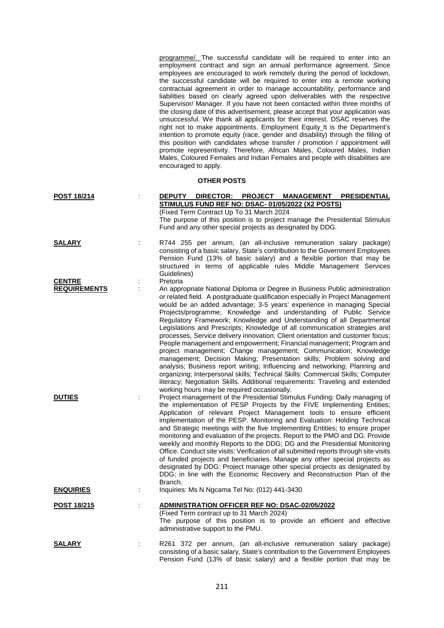[programme/.](https://www.thensg.gov.za/training-course/sms-pre-entry-programme/) The successful candidate will be required to enter into an employment contract and sign an annual performance agreement. Since employees are encouraged to work remotely during the period of lockdown, the successful candidate will be required to enter into a remote working contractual agreement in order to manage accountability, performance and liabilities based on clearly agreed upon deliverables with the respective Supervisor/ Manager. If you have not been contacted within three months of the closing date of this advertisement, please accept that your application was unsuccessful. We thank all applicants for their interest. DSAC reserves the right not to make appointments. Employment Equity It is the Department's intention to promote equity (race, gender and disability) through the filling of this position with candidates whose transfer / promotion / appointment will promote representivity. Therefore, African Males, Coloured Males, Indian Males, Coloured Females and Indian Females and people with disabilities are encouraged to apply. **OTHER POSTS POST 18/214** : **DEPUTY DIRECTOR: PROJECT MANAGEMENT PRESIDENTIAL STIMULUS FUND REF NO: DSAC- 01/05/2022 (X2 POSTS)** (Fixed Term Contract Up To 31 March 2024 The purpose of this position is to project manage the Presidential Stimulus Fund and any other special projects as designated by DDG. **SALARY** : R744 255 per annum, (an all-inclusive remuneration salary package) consisting of a basic salary, State's contribution to the Government Employees Pension Fund (13% of basic salary) and a flexible portion that may be structured in terms of applicable rules Middle Management Services Guidelines)<br>Pretoria **CENTRE**<br>REQUIREMENTS An appropriate National Diploma or Degree in Business Public administration or related field. A postgraduate qualification especially in Project Management would be an added advantage; 3-5 years' experience in managing Special Projects/programme; Knowledge and understanding of Public Service Regulatory Framework; Knowledge and Understanding of all Departmental Legislations and Prescripts; Knowledge of all communication strategies and processes, Service delivery innovation; Client orientation and customer focus; People management and empowerment; Financial management; Program and project management; Change management; Communication; Knowledge management; Decision Making; Presentation skills; Problem solving and analysis; Business report writing; Influencing and networking; Planning and organizing; Interpersonal skills; Technical Skills: Commercial Skills; Computer literacy; Negotiation Skills. Additional requirements: Traveling and extended working hours may be required occasionally. **DUTIES Example 1** : Project management of the Presidential Stimulus Funding: Daily managing of the implementation of PESP Projects by the FIVE Implementing Entities;

Application of relevant Project Management tools to ensure efficient implementation of the PESP. Monitoring and Evaluation: Holding Technical and Strategic meetings with the five Implementing Entities; to ensure proper monitoring and evaluation of the projects. Report to the PMO and DG: Provide weekly and monthly Reports to the DDG; DG and the Presidential Monitoring Office. Conduct site visits: Verification of all submitted reports through site visits of funded projects and beneficiaries. Manage any other special projects as designated by DDG: Project manage other special projects as designated by DDG; in line with the Economic Recovery and Reconstruction Plan of the Branch. **ENQUIRIES** : Inquiries: Ms N Ngcama Tel No: (012) 441-3430

**POST 18/215** : **ADMINISTRATION OFFICER REF NO: DSAC-02/05/2022** (Fixed Term contract up to 31 March 2024) The purpose of this position is to provide an efficient and effective administrative support to the PMU. **SALARY** : R261 372 per annum, (an all-inclusive remuneration salary package)

consisting of a basic salary, State's contribution to the Government Employees Pension Fund (13% of basic salary) and a flexible portion that may be